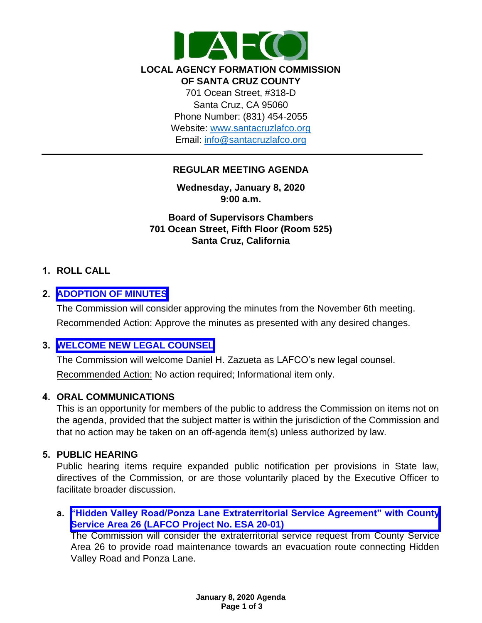

#### **LOCAL AGENCY FORMATION COMMISSION OF SANTA CRUZ COUNTY**

701 Ocean Street, #318-D Santa Cruz, CA 95060 Phone Number: (831) 454-2055 Website: [www.santacruzlafco.org](http://www.santacruzlafco.org/) Email: [info@santacruzlafco.org](mailto:info@santacruzlafco.org)

## **REGULAR MEETING AGENDA**

**Wednesday, January 8, 2020 9:00 a.m.**

**Board of Supervisors Chambers 701 Ocean Street, Fifth Floor (Room 525) Santa Cruz, California**

# **1. ROLL CALL**

## **2. [ADOPTION OF MINUTES](https://www.santacruzlafco.org/wp-content/uploads/2020/01/2.0-11-6-19-Minutes.pdf)**

The Commission will consider approving the minutes from the November 6th meeting. Recommended Action: Approve the minutes as presented with any desired changes.

## **3. [WELCOME NEW LEGAL COUNSEL](https://www.santacruzlafco.org/wp-content/uploads/2020/01/3a.0-New-Legal-Counsel-Staff-Report.pdf)**

The Commission will welcome Daniel H. Zazueta as LAFCO's new legal counsel. Recommended Action: No action required; Informational item only.

## **4. ORAL COMMUNICATIONS**

This is an opportunity for members of the public to address the Commission on items not on the agenda, provided that the subject matter is within the jurisdiction of the Commission and that no action may be taken on an off-agenda item(s) unless authorized by law.

## **5. PUBLIC HEARING**

Public hearing items require expanded public notification per provisions in State law, directives of the Commission, or are those voluntarily placed by the Executive Officer to facilitate broader discussion.

# **a. ["Hidden Valley Road/Ponza Lane Extraterritorial Service Agreement" with County](https://www.santacruzlafco.org/wp-content/uploads/2020/01/5a.0-Extraterritorial-Serv-Agreement-Staff-Report.pdf) Service Area 26 (LAFCO Project No. ESA 20-01)**

The Commission will consider the extraterritorial service request from County Service Area 26 to provide road maintenance towards an evacuation route connecting Hidden Valley Road and Ponza Lane.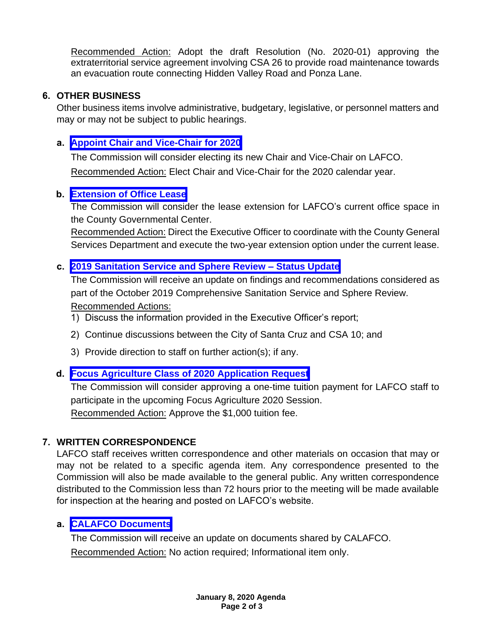Recommended Action: Adopt the draft Resolution (No. 2020-01) approving the extraterritorial service agreement involving CSA 26 to provide road maintenance towards an evacuation route connecting Hidden Valley Road and Ponza Lane.

## **6. OTHER BUSINESS**

Other business items involve administrative, budgetary, legislative, or personnel matters and may or may not be subject to public hearings.

#### **a. [Appoint Chair and Vice-Chair for 2020](https://www.santacruzlafco.org/wp-content/uploads/2020/01/6a.0-Chair-ViceChair-Selection-Staff-Report.pdf)**

The Commission will consider electing its new Chair and Vice-Chair on LAFCO. Recommended Action: Elect Chair and Vice-Chair for the 2020 calendar year.

#### **b. [Extension of Office Lease](https://www.santacruzlafco.org/wp-content/uploads/2020/01/6b.0-Lease-Extension-Staff-Report.pdf)**

The Commission will consider the lease extension for LAFCO's current office space in the County Governmental Center.

Recommended Action: Direct the Executive Officer to coordinate with the County General Services Department and execute the two-year extension option under the current lease.

## **c. [2019 Sanitation Service](https://www.santacruzlafco.org/wp-content/uploads/2020/01/6c.0-Sanitation-Update-Staff-Report.pdf) and Sphere Review – Status Update**

The Commission will receive an update on findings and recommendations considered as part of the October 2019 Comprehensive Sanitation Service and Sphere Review. Recommended Actions:

- 1) Discuss the information provided in the Executive Officer's report;
- 2) Continue discussions between the City of Santa Cruz and CSA 10; and
- 3) Provide direction to staff on further action(s); if any.

## **d. [Focus Agriculture Class of 2020 Application Request](https://www.santacruzlafco.org/wp-content/uploads/2020/01/6d.0-Focus-Agriculture-Staff-Report.pdf)**

The Commission will consider approving a one-time tuition payment for LAFCO staff to participate in the upcoming Focus Agriculture 2020 Session. Recommended Action: Approve the \$1,000 tuition fee.

## **7. WRITTEN CORRESPONDENCE**

LAFCO staff receives written correspondence and other materials on occasion that may or may not be related to a specific agenda item. Any correspondence presented to the Commission will also be made available to the general public. Any written correspondence distributed to the Commission less than 72 hours prior to the meeting will be made available for inspection at the hearing and posted on LAFCO's website.

## **a. [CALAFCO Documents](https://www.santacruzlafco.org/wp-content/uploads/2020/01/7a.0-Written-Correspondence-Staff-Report.pdf)**

The Commission will receive an update on documents shared by CALAFCO. Recommended Action: No action required; Informational item only.